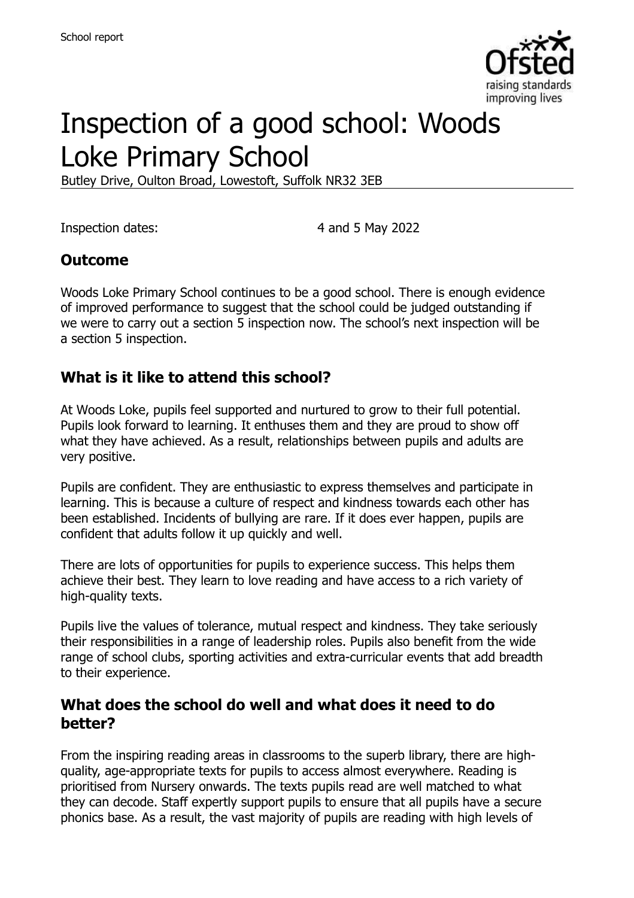

# Inspection of a good school: Woods Loke Primary School

Butley Drive, Oulton Broad, Lowestoft, Suffolk NR32 3EB

Inspection dates: 4 and 5 May 2022

### **Outcome**

Woods Loke Primary School continues to be a good school. There is enough evidence of improved performance to suggest that the school could be judged outstanding if we were to carry out a section 5 inspection now. The school's next inspection will be a section 5 inspection.

## **What is it like to attend this school?**

At Woods Loke, pupils feel supported and nurtured to grow to their full potential. Pupils look forward to learning. It enthuses them and they are proud to show off what they have achieved. As a result, relationships between pupils and adults are very positive.

Pupils are confident. They are enthusiastic to express themselves and participate in learning. This is because a culture of respect and kindness towards each other has been established. Incidents of bullying are rare. If it does ever happen, pupils are confident that adults follow it up quickly and well.

There are lots of opportunities for pupils to experience success. This helps them achieve their best. They learn to love reading and have access to a rich variety of high-quality texts.

Pupils live the values of tolerance, mutual respect and kindness. They take seriously their responsibilities in a range of leadership roles. Pupils also benefit from the wide range of school clubs, sporting activities and extra-curricular events that add breadth to their experience.

#### **What does the school do well and what does it need to do better?**

From the inspiring reading areas in classrooms to the superb library, there are highquality, age-appropriate texts for pupils to access almost everywhere. Reading is prioritised from Nursery onwards. The texts pupils read are well matched to what they can decode. Staff expertly support pupils to ensure that all pupils have a secure phonics base. As a result, the vast majority of pupils are reading with high levels of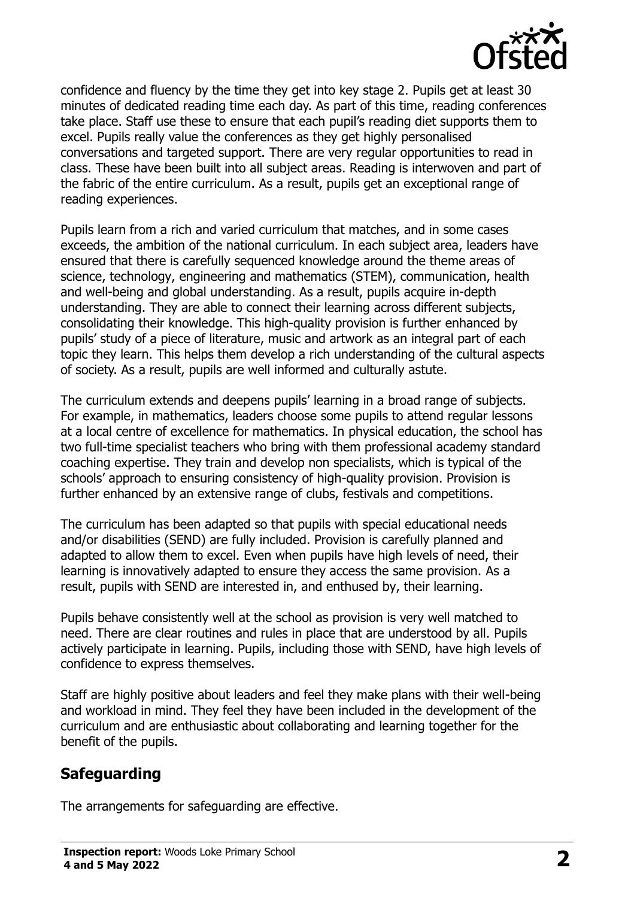

confidence and fluency by the time they get into key stage 2. Pupils get at least 30 minutes of dedicated reading time each day. As part of this time, reading conferences take place. Staff use these to ensure that each pupil's reading diet supports them to excel. Pupils really value the conferences as they get highly personalised conversations and targeted support. There are very regular opportunities to read in class. These have been built into all subject areas. Reading is interwoven and part of the fabric of the entire curriculum. As a result, pupils get an exceptional range of reading experiences.

Pupils learn from a rich and varied curriculum that matches, and in some cases exceeds, the ambition of the national curriculum. In each subject area, leaders have ensured that there is carefully sequenced knowledge around the theme areas of science, technology, engineering and mathematics (STEM), communication, health and well-being and global understanding. As a result, pupils acquire in-depth understanding. They are able to connect their learning across different subjects, consolidating their knowledge. This high-quality provision is further enhanced by pupils' study of a piece of literature, music and artwork as an integral part of each topic they learn. This helps them develop a rich understanding of the cultural aspects of society. As a result, pupils are well informed and culturally astute.

The curriculum extends and deepens pupils' learning in a broad range of subjects. For example, in mathematics, leaders choose some pupils to attend regular lessons at a local centre of excellence for mathematics. In physical education, the school has two full-time specialist teachers who bring with them professional academy standard coaching expertise. They train and develop non specialists, which is typical of the schools' approach to ensuring consistency of high-quality provision. Provision is further enhanced by an extensive range of clubs, festivals and competitions.

The curriculum has been adapted so that pupils with special educational needs and/or disabilities (SEND) are fully included. Provision is carefully planned and adapted to allow them to excel. Even when pupils have high levels of need, their learning is innovatively adapted to ensure they access the same provision. As a result, pupils with SEND are interested in, and enthused by, their learning.

Pupils behave consistently well at the school as provision is very well matched to need. There are clear routines and rules in place that are understood by all. Pupils actively participate in learning. Pupils, including those with SEND, have high levels of confidence to express themselves.

Staff are highly positive about leaders and feel they make plans with their well-being and workload in mind. They feel they have been included in the development of the curriculum and are enthusiastic about collaborating and learning together for the benefit of the pupils.

### **Safeguarding**

The arrangements for safeguarding are effective.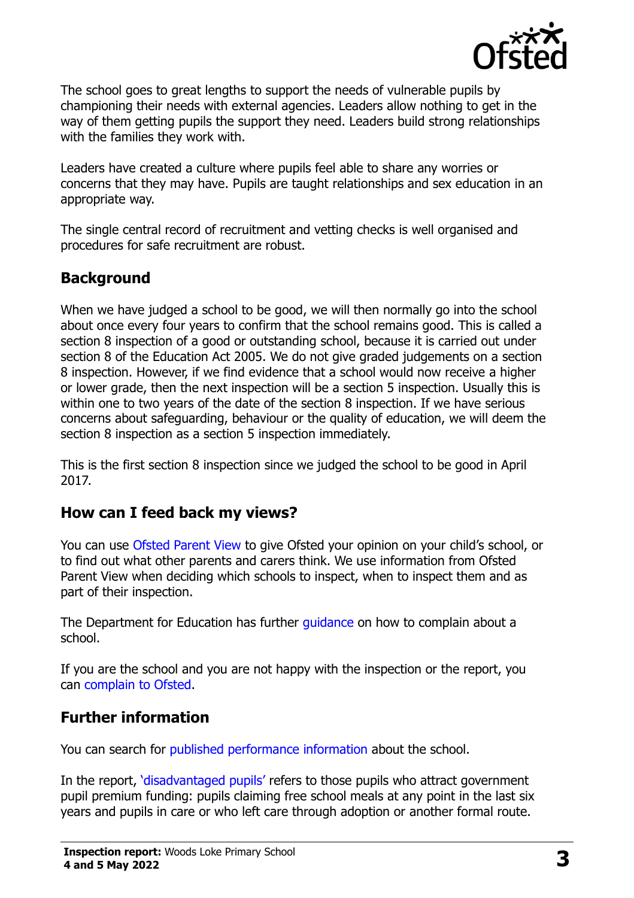

The school goes to great lengths to support the needs of vulnerable pupils by championing their needs with external agencies. Leaders allow nothing to get in the way of them getting pupils the support they need. Leaders build strong relationships with the families they work with.

Leaders have created a culture where pupils feel able to share any worries or concerns that they may have. Pupils are taught relationships and sex education in an appropriate way.

The single central record of recruitment and vetting checks is well organised and procedures for safe recruitment are robust.

# **Background**

When we have judged a school to be good, we will then normally go into the school about once every four years to confirm that the school remains good. This is called a section 8 inspection of a good or outstanding school, because it is carried out under section 8 of the Education Act 2005. We do not give graded judgements on a section 8 inspection. However, if we find evidence that a school would now receive a higher or lower grade, then the next inspection will be a section 5 inspection. Usually this is within one to two years of the date of the section 8 inspection. If we have serious concerns about safeguarding, behaviour or the quality of education, we will deem the section 8 inspection as a section 5 inspection immediately.

This is the first section 8 inspection since we judged the school to be good in April 2017.

### **How can I feed back my views?**

You can use [Ofsted Parent View](https://parentview.ofsted.gov.uk/) to give Ofsted your opinion on your child's school, or to find out what other parents and carers think. We use information from Ofsted Parent View when deciding which schools to inspect, when to inspect them and as part of their inspection.

The Department for Education has further [guidance](http://www.gov.uk/complain-about-school) on how to complain about a school.

If you are the school and you are not happy with the inspection or the report, you can [complain to Ofsted.](https://www.gov.uk/complain-ofsted-report)

# **Further information**

You can search for [published performance information](http://www.compare-school-performance.service.gov.uk/) about the school.

In the report, '[disadvantaged pupils](http://www.gov.uk/guidance/pupil-premium-information-for-schools-and-alternative-provision-settings)' refers to those pupils who attract government pupil premium funding: pupils claiming free school meals at any point in the last six years and pupils in care or who left care through adoption or another formal route.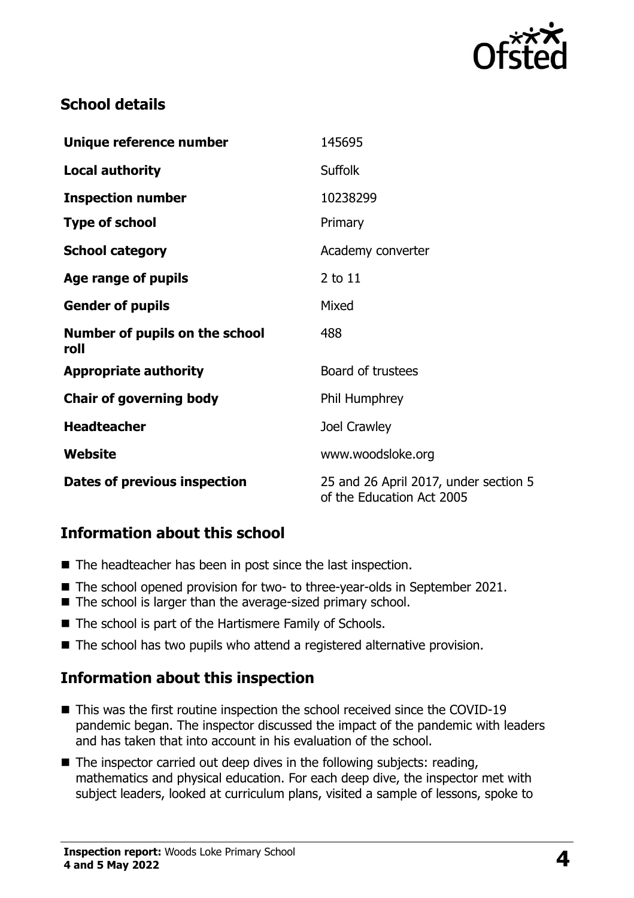

### **School details**

| Unique reference number                | 145695                                                             |
|----------------------------------------|--------------------------------------------------------------------|
| <b>Local authority</b>                 | <b>Suffolk</b>                                                     |
| <b>Inspection number</b>               | 10238299                                                           |
| <b>Type of school</b>                  | Primary                                                            |
| <b>School category</b>                 | Academy converter                                                  |
| Age range of pupils                    | $2$ to $11$                                                        |
| <b>Gender of pupils</b>                | Mixed                                                              |
| Number of pupils on the school<br>roll | 488                                                                |
| <b>Appropriate authority</b>           | Board of trustees                                                  |
| <b>Chair of governing body</b>         | Phil Humphrey                                                      |
| <b>Headteacher</b>                     | Joel Crawley                                                       |
| Website                                | www.woodsloke.org                                                  |
| Dates of previous inspection           | 25 and 26 April 2017, under section 5<br>of the Education Act 2005 |

# **Information about this school**

- The headteacher has been in post since the last inspection.
- The school opened provision for two- to three-year-olds in September 2021.
- The school is larger than the average-sized primary school.
- The school is part of the Hartismere Family of Schools.
- The school has two pupils who attend a registered alternative provision.

### **Information about this inspection**

- This was the first routine inspection the school received since the COVID-19 pandemic began. The inspector discussed the impact of the pandemic with leaders and has taken that into account in his evaluation of the school.
- The inspector carried out deep dives in the following subjects: reading, mathematics and physical education. For each deep dive, the inspector met with subject leaders, looked at curriculum plans, visited a sample of lessons, spoke to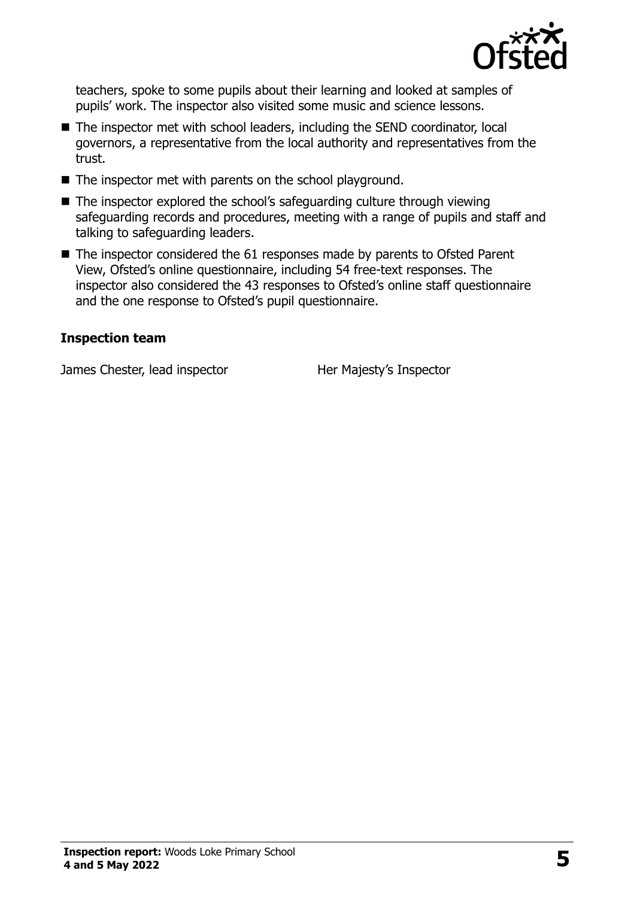

teachers, spoke to some pupils about their learning and looked at samples of pupils' work. The inspector also visited some music and science lessons.

- The inspector met with school leaders, including the SEND coordinator, local governors, a representative from the local authority and representatives from the trust.
- The inspector met with parents on the school playground.
- The inspector explored the school's safeguarding culture through viewing safeguarding records and procedures, meeting with a range of pupils and staff and talking to safeguarding leaders.
- The inspector considered the 61 responses made by parents to Ofsted Parent View, Ofsted's online questionnaire, including 54 free-text responses. The inspector also considered the 43 responses to Ofsted's online staff questionnaire and the one response to Ofsted's pupil questionnaire.

#### **Inspection team**

James Chester, lead inspector **Her Majesty's Inspector**